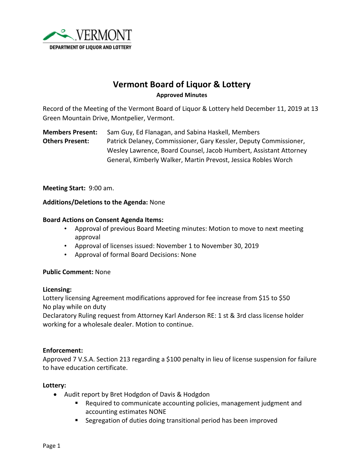

# **Vermont Board of Liquor & Lottery Approved Minutes**

Record of the Meeting of the Vermont Board of Liquor & Lottery held December 11, 2019 at 13 Green Mountain Drive, Montpelier, Vermont.

**Members Present:** Sam Guy, Ed Flanagan, and Sabina Haskell, Members **Others Present:** Patrick Delaney, Commissioner, Gary Kessler, Deputy Commissioner, Wesley Lawrence, Board Counsel, Jacob Humbert, Assistant Attorney General, Kimberly Walker, Martin Prevost, Jessica Robles Worch

**Meeting Start:** 9:00 am.

### **Additions/Deletions to the Agenda:** None

#### **Board Actions on Consent Agenda Items:**

- Approval of previous Board Meeting minutes: Motion to move to next meeting approval
- Approval of licenses issued: November 1 to November 30, 2019
- Approval of formal Board Decisions: None

#### **Public Comment:** None

#### **Licensing:**

Lottery licensing Agreement modifications approved for fee increase from \$15 to \$50 No play while on duty

Declaratory Ruling request from Attorney Karl Anderson RE: 1 st & 3rd class license holder working for a wholesale dealer. Motion to continue.

#### **Enforcement:**

Approved 7 V.S.A. Section 213 regarding a \$100 penalty in lieu of license suspension for failure to have education certificate.

#### **Lottery:**

- Audit report by Bret Hodgdon of Davis & Hodgdon
	- Required to communicate accounting policies, management judgment and accounting estimates NONE
	- Segregation of duties doing transitional period has been improved